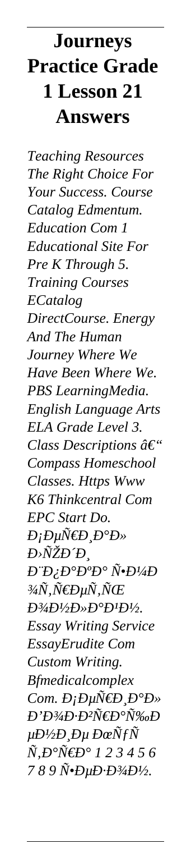## **Journeys Practice Grade** 1 Lesson 21 **Answers**

**Teaching Resources** The Right Choice For Your Success. Course Catalog Edmentum. **Education Com 1 Educational Site For** Pre K Through 5. **Training Courses** ECatalog DirectCourse. Energy And The Human Journey Where We Have Been Where We. PBS LearningMedia. **English Language Arts** ELA Grade Level 3. Class Descriptions  $\hat{a}\in$ " **Compass Homeschool** Classes. Https Www K6 Thinkcentral Com EPC Start Do.  $D_j D \mu \tilde{N} \in D_j D^{\circ} D^{\circ}$ Đ>ÑŽĐĐ,  $D^{\cdot \cdot}D_\zeta D^{\circ}D^{\cdot \cdot}D^{\cdot \cdot} \tilde{N} \cdot D^{1/4}D$ <sup>3</sup>⁄4Ñ,Ñ€ĐµÑ,ÑŒ  $D^{3}/4D^{1}/2D^{*}D^{0}D^{1}D^{1}/2.$ **Essay Writing Service EssayErudite Com** Custom Writing. **Bfmedicalcomplex** Com.  $D_iD\mu\tilde{\mathcal{N}}\in D_1D^\circ D$ *Đ*'Đ<sup>3</sup>/<sub>4</sub>D⋅Đ<sup>2</sup>Ñ€Đ°Ñ‰Đ  $\mu D^{\prime\prime}$ 2D,  $D\mu$   $D\alpha\tilde{N}$ f $\tilde{N}$  $\tilde{N}, D^{\circ} \tilde{N} \in D^{\circ}$  1 2 3 4 5 6 789 N.DuD.D3/4D1/2.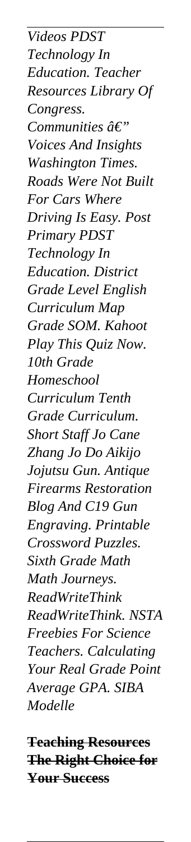*Videos PDST Technology In Education. Teacher Resources Library Of Congress. Communities â€" Voices And Insights Washington Times. Roads Were Not Built For Cars Where Driving Is Easy. Post Primary PDST Technology In Education. District Grade Level English Curriculum Map Grade SOM. Kahoot Play This Quiz Now. 10th Grade Homeschool Curriculum Tenth Grade Curriculum. Short Staff Jo Cane Zhang Jo Do Aikijo Jojutsu Gun. Antique Firearms Restoration Blog And C19 Gun Engraving. Printable Crossword Puzzles. Sixth Grade Math Math Journeys. ReadWriteThink ReadWriteThink. NSTA Freebies For Science Teachers. Calculating Your Real Grade Point Average GPA. SIBA Modelle*

**Teaching Resources The Right Choice for Your Success**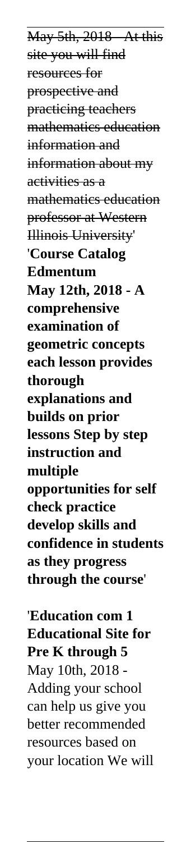May 5th, 2018 - At this site you will find resources for prospective and practicing teachers mathematics education information and information about my activities as a mathematics education professor at Western Illinois University' '**Course Catalog Edmentum May 12th, 2018 - A comprehensive examination of geometric concepts each lesson provides thorough explanations and builds on prior lessons Step by step instruction and multiple opportunities for self check practice develop skills and confidence in students as they progress through the course**'

'**Education com 1 Educational Site for Pre K through 5** May 10th, 2018 - Adding your school can help us give you better recommended resources based on your location We will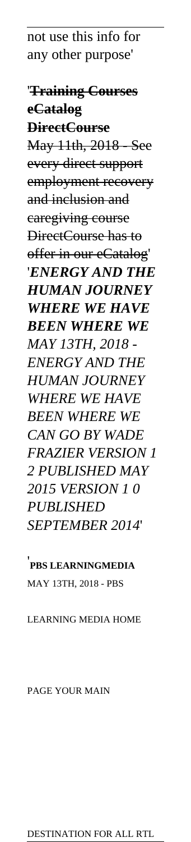not use this info for any other purpose'

'**Training Courses eCatalog DirectCourse** May 11th, 2018 - See every direct support employment recovery and inclusion and caregiving course DirectCourse has to offer in our eCatalog' '*ENERGY AND THE HUMAN JOURNEY WHERE WE HAVE BEEN WHERE WE MAY 13TH, 2018 - ENERGY AND THE HUMAN JOURNEY WHERE WE HAVE BEEN WHERE WE CAN GO BY WADE FRAZIER VERSION 1 2 PUBLISHED MAY 2015 VERSION 1 0 PUBLISHED SEPTEMBER 2014*'

'**PBS LEARNINGMEDIA** MAY 13TH, 2018 - PBS

LEARNING MEDIA HOME

PAGE YOUR MAIN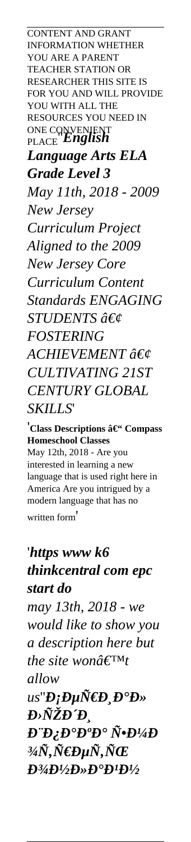CONTENT AND GRANT INFORMATION WHETHER YOU ARE A PARENT TEACHER STATION OR RESEARCHER THIS SITE IS FOR YOU AND WILL PROVIDE YOU WITH ALL THE RESOURCES YOU NEED IN ONE CONVENIENT PLACE''*English Language Arts ELA Grade Level 3 May 11th, 2018 - 2009 New Jersey Curriculum Project Aligned to the 2009 New Jersey Core Curriculum Content Standards ENGAGING STUDENTS • FOSTERING* **ACHIEVEMENT** • *CULTIVATING 21ST CENTURY GLOBAL SKILLS*'

<sup>'</sup>Class Descriptions – Compass **Homeschool Classes** May 12th, 2018 - Are you interested in learning a new language that is used right here in America Are you intrigued by a modern language that has no written form'

'*https www k6 thinkcentral com epc start do may 13th, 2018 - we would like to show you a description here but the site won* $\hat{a} \in \text{TM}$ *t allow us*"*D*;*DuрD D*<sup>•</sup>*D*»  $\bm{D}$ >ÑŽÐ́ *Д Ю*<sup>*D*</sup>**D**<sup>*D*</sup>**D**<sup>*W*</sup>**D**<sup>*V*</sup> $\tilde{N}$ **•***D<sup><i>V*</sup> $\tilde{A}$ **D**  $\partial^3\!\!\! A\tilde N, \tilde N\!\!\!\in\!\! D\mu \tilde N, \tilde N\!\!\!\in\!\! E$ *<i><u>D</u><sup>3</sup>*/<sub>2</sub>*D*<sup>*/*</sup>*D*<sup>*/*</sup>*D*<sup>*/*</sup>*D*<sup>*/*</sup>*D*<sup>*/*</sup>/<sub>2</sub>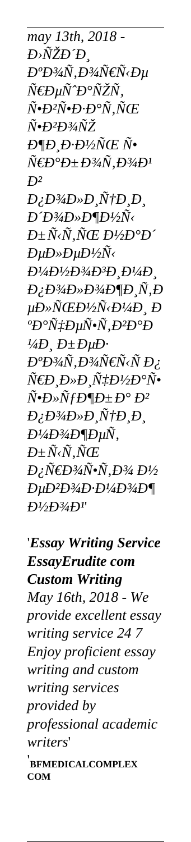*may 13th, 2018 -*  $D$ ݄ŽĐ´Ð*. аоÑ,оÑ€Ñ<е*  $\tilde{N}$ €Ðи $\tilde{N}$ ́D° $\tilde{N}$ ŽÑ,  $\tilde{N}$ • $D$ <sup>2</sup> $\tilde{N}$ • $D$ · $D$ ° $\tilde{N}$ , $\tilde{N}$ Œ  $\tilde{N}$ •*Ð<sup>2</sup>Ð3/4ÑŽ*  $E \mathcal{D} \mathcal{D} E \mathcal{D}' \mathcal{D} \mathcal{D} \mathcal{D} \mathcal{D} \mathcal{D}$  $\tilde{N}$ **ED**°D±D<sup>3</sup>/4 $\tilde{N}$ ,D<sup>3</sup>/4D<sup>1</sup>  $\mathbf{P}^2$  $D_{\lambda}D^{3}/4D^{*}D_{\lambda}\tilde{N}^{\dagger}D_{\lambda}D_{\lambda}$  $D'D^3$ <sub>*4D*» $D\P D^1$ /2 $\tilde{N}$ </sub>  $D$ ± $\tilde{N}$ < $\tilde{N}$ . $\tilde{N}$ Œ  $D$ ½ $D$ ° $D$ ´  $E\mu D\nu D\nu D\nu D\nu \tilde{N}$  $B$ <sup>1</sup>/4**D**<sup>1</sup>/2**D**<sup>3</sup>/4**D**<sup>3</sup>**D**<sub>*.</sub>D*<sup>1</sup>/4**D**<sub>.</sub></sub> *<i><u>D;D<sup>3</sup>/<sub>4</sub>D»<i>D***<sup>3</sup>/<sub>4</sub><b>D***¶<i><i>D*</sup>, *<i>D*</u> *µÐ»ÑŒÐ½Ñ‹Ð¼Ð¸ Ð* <sup>*°Ð°Ñ‡ÐµÑ•Ñ,Ð<sup>2</sup>аÐ*</sup>  $<sup>1</sup>/<sub>4</sub>*D*, *D*±*D*<sub>µ</sub>*D*.$ </sup> *<i>Đ*°Đ¾Ñ,Đ¾Ñ€Ñ‹Ñ Đ¿ *Ñ€Đ ,лР,чĐ½Đ°Ñ•*  $\tilde{N}$ • $D$ » $\tilde{N}$ fD¶D± $D^{\circ}$  $D^2$  $D/D^3$ <sub>*/I*</sub> $D_\nu$ *D*<sup>*n*</sup> $\sim$ *D<sub><i>l*</sub> $\sim$ *D*<sub>*l*</sub> $\sim$ </sub>*n* $\sim$ *n* $\sim$ *n* $\sim$ *n* $\sim$ *n* $\sim$ *n* $\sim$ *n* $\sim$ *n* $\sim$ *n* $\sim$ *n* $\sim$ *n* $\sim$ *n* $\sim$ *n* $\sim$ *n* $\sim$ *n* $\sim$ *n* $\sim$ *n* $\sim$ *n* $\sim$ *n* $\sim$ *n* $\sim$ *n* $\sim$ *n* $\sim$ *n* $\sim$ *n* $\sim$  $D\frac{1}{4}D\frac{3}{4}D\frac{4}{9}D\mu\tilde{N}$ ,  $D$  $\pm$ Ñ<Ñ,ÑŒ  $D$ *į, Ñ€* $D$ *3/4Ñ•Ñ, D3/4*  $D$ *1/2 евозмож ной*'

'*Essay Writing Service EssayErudite com Custom Writing May 16th, 2018 - We provide excellent essay writing service 24 7 Enjoy proficient essay writing and custom writing services provided by professional academic writers*' '**BFMEDICALCOMPLEX COM**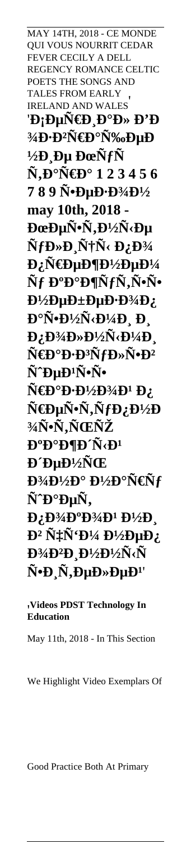MAY 14TH, 2018 - CE MONDE **OUI VOUS NOURRIT CEDAR** FEVER CECILY A DELL REGENCY ROMANCE CELTIC POETS THE SONGS AND **TALES FROM EARLY** IRELAND AND WALES 'Đ;еÑ€Đ Đ°Đ» Đ'Đ 3⁄4**D**·**D**<sup>2</sup>Ñ€**D**°Ñ‰DµD  $\frac{1}{2}D \text{p}$  Du Dœ $\tilde{N}$ f $\tilde{N}$  $\tilde{\mathbf{N}}, \mathbf{D}^{\circ} \tilde{\mathbf{N}} \in \mathbf{D}^{\circ}$  1 2 3 4 5 6 789 N.DuD.D3/4D1/2 may 10th, 2018 -ĐœĐµÑ•Ñ,Đ½Ñ<е  $\tilde{\mathbf{N}}$ f $\mathbf{D}\times\mathbf{D}$   $\tilde{\mathbf{N}}$ † $\tilde{\mathbf{N}}$ < $\mathbf{D}$ ; $\mathbf{D}$ ¼  $D: \tilde{N} \in D \cup D \cap D^{1/2} D \cup D^{1/4}$ Ñf Đ<sup>o</sup>ажÑfÑ,ѕѕ  $D^{1/2}DuD\pm DuD\cdot D^{3/4}D$  $\mathbf{D}^{\circ}\tilde{\mathbf{N}}$ • $\mathbf{D}^{1}/2\tilde{\mathbf{N}}$ ‹ $\mathbf{D}^{1}/4\mathbf{D}$ ,  $\mathbf{D}$ ,  $D_L D^3$ 4D» $D^1$ /2 $\tilde{N}$ < $D^1$ /4D Ñ€Đ°Đ·Đ<sup>3</sup>ÑfĐ»Ñ•Đ<sup>2</sup> Ñ^ĐuĐ<sup>1</sup>ѕѕ  $\tilde{\mathbf{N}}$ **ED**<sup>o</sup>D·D<sup>1</sup>/<sub>2</sub>D<sup>3</sup>/<sub>4</sub>D<sup>1</sup> D<sub>2</sub> Ñ€ĐµÑ•Ñ,ÑfĐ¿Đ½Đ 3/4Ñ.Ñ.ью **D**<sup>o</sup>**D**<sup>o</sup>**D**<sup>*I*</sup>**D**<sup>*Y*</sup>*D***<sup>1</sup>** РеĐ½ÑŒ  $\mathbf{D}^{3}/\mathbf{D}^{1}/2\mathbf{D}^{\circ}$   $\mathbf{D}^{1}/2\mathbf{D}^{\circ}\tilde{\mathbf{N}}\in\tilde{\mathbf{N}}f$ Ñ^аеÑ,  $D_{\alpha}D^{3}/D^{0}D^{3}/D^{1}D^{1}/2D_{\alpha}$  $\mathbf{D}^2 \tilde{\mathbf{N}}$ :  $\tilde{\mathbf{N}}$ ' $\mathbf{D}^{1/4} \mathbf{D}^{1/2} \mathbf{D} \mathbf{\mu} \mathbf{D}$ Đ¾Đ<sup>2</sup>Đ Đ½Đ½Ñ<Ñ  $\tilde{N}$ · $D \tilde{N}$ , $D \mu D \rightarrow D \mu D$ <sup>1</sup>

Videos PDST Technology In **Education** 

May 11th, 2018 - In This Section

We Highlight Video Exemplars Of

Good Practice Both At Primary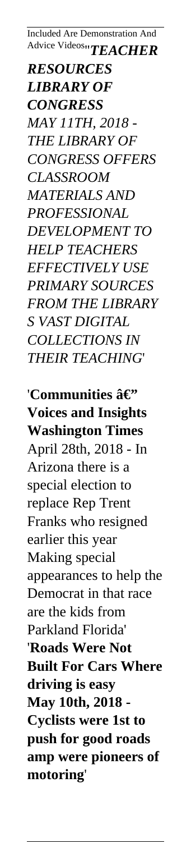Included Are Demonstration And Advice Videos''*TEACHER*

*RESOURCES LIBRARY OF CONGRESS MAY 11TH, 2018 - THE LIBRARY OF CONGRESS OFFERS CLASSROOM MATERIALS AND PROFESSIONAL DEVELOPMENT TO HELP TEACHERS EFFECTIVELY USE PRIMARY SOURCES FROM THE LIBRARY S VAST DIGITAL COLLECTIONS IN THEIR TEACHING*'

'Communities â $\epsilon$ " **Voices and Insights Washington Times** April 28th, 2018 - In Arizona there is a special election to replace Rep Trent Franks who resigned earlier this year Making special appearances to help the Democrat in that race are the kids from Parkland Florida' '**Roads Were Not Built For Cars Where driving is easy May 10th, 2018 - Cyclists were 1st to push for good roads amp were pioneers of motoring**'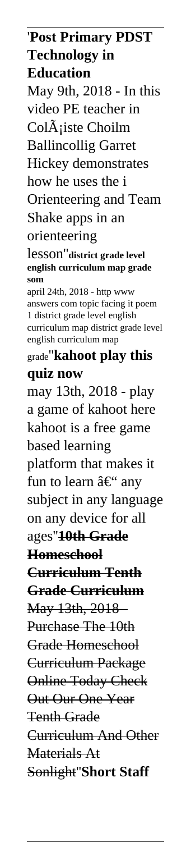'**Post Primary PDST Technology in Education** May 9th, 2018 - In this video PE teacher in Col $\tilde{A}$ iste Choilm Ballincollig Garret Hickey demonstrates how he uses the i Orienteering and Team Shake apps in an orienteering lesson''**district grade level english curriculum map grade som** april 24th, 2018 - http www answers com topic facing it poem 1 district grade level english curriculum map district grade level english curriculum map grade''**kahoot play this quiz now** may 13th, 2018 - play a game of kahoot here kahoot is a free game based learning platform that makes it fun to learn  $\hat{a} \in \mathcal{C}$  any subject in any language on any device for all ages''**10th Grade Homeschool Curriculum Tenth Grade Curriculum** May 13th, 2018 - Purchase The 10th Grade Homeschool Curriculum Package Online Today Check Out Our One Year Tenth Grade Curriculum And Other Materials At Sonlight''**Short Staff**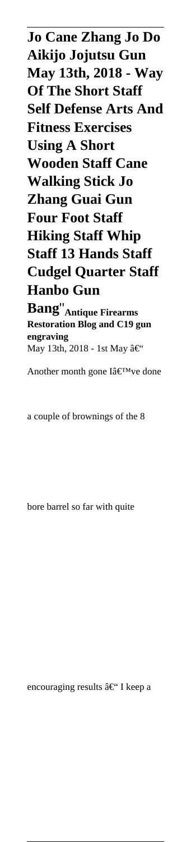**Jo Cane Zhang Jo Do Aikijo Jojutsu Gun May 13th, 2018 - Way Of The Short Staff Self Defense Arts And Fitness Exercises Using A Short Wooden Staff Cane Walking Stick Jo Zhang Guai Gun Four Foot Staff Hiking Staff Whip Staff 13 Hands Staff Cudgel Quarter Staff Hanbo Gun Bang**''**Antique Firearms**

**Restoration Blog and C19 gun engraving** May 13th, 2018 - 1st May  $\hat{a} \in \tilde{C}$ 

Another month gone  $I\hat{a} \in T^M$ ve done

a couple of brownings of the 8

bore barrel so far with quite

encouraging results  $\hat{a} \in \mathcal{C}$  I keep a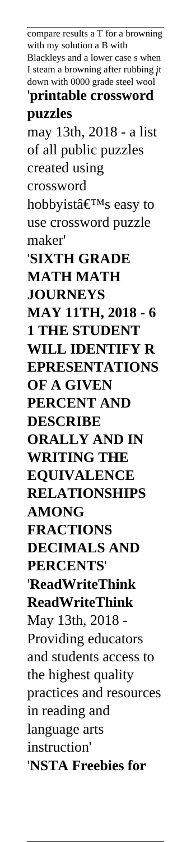compare results a T for a browning with my solution a B with Blackleys and a lower case s when I steam a browning after rubbing it down with 0000 grade steel wool' '**printable crossword puzzles** may 13th, 2018 - a list of all public puzzles created using crossword hobbyist $\hat{\mathbf{a}} \in \mathbb{R}^{\mathrm{TM}}$ s easy to use crossword puzzle maker' '**SIXTH GRADE MATH MATH JOURNEYS MAY 11TH, 2018 - 6 1 THE STUDENT WILL IDENTIFY R EPRESENTATIONS OF A GIVEN PERCENT AND DESCRIBE ORALLY AND IN WRITING THE EQUIVALENCE RELATIONSHIPS AMONG FRACTIONS DECIMALS AND PERCENTS**' '**ReadWriteThink ReadWriteThink** May 13th, 2018 - Providing educators and students access to the highest quality practices and resources in reading and language arts instruction' '**NSTA Freebies for**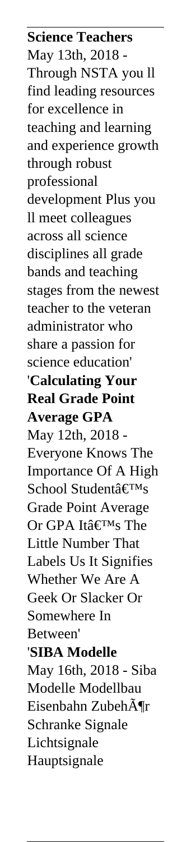**Science Teachers** May 13th, 2018 - Through NSTA you ll find leading resources for excellence in teaching and learning and experience growth through robust professional development Plus you ll meet colleagues across all science disciplines all grade bands and teaching stages from the newest teacher to the veteran administrator who share a passion for science education' '**Calculating Your Real Grade Point Average GPA** May 12th, 2018 - Everyone Knows The Importance Of A High School Student $\hat{a} \in T^{M}S$ Grade Point Average Or GPA It's The Little Number That Labels Us It Signifies Whether We Are A Geek Or Slacker Or Somewhere In Between' '**SIBA Modelle** May 16th, 2018 - Siba Modelle Modellbau Eisenbahn ZubehĶr Schranke Signale Lichtsignale Hauptsignale